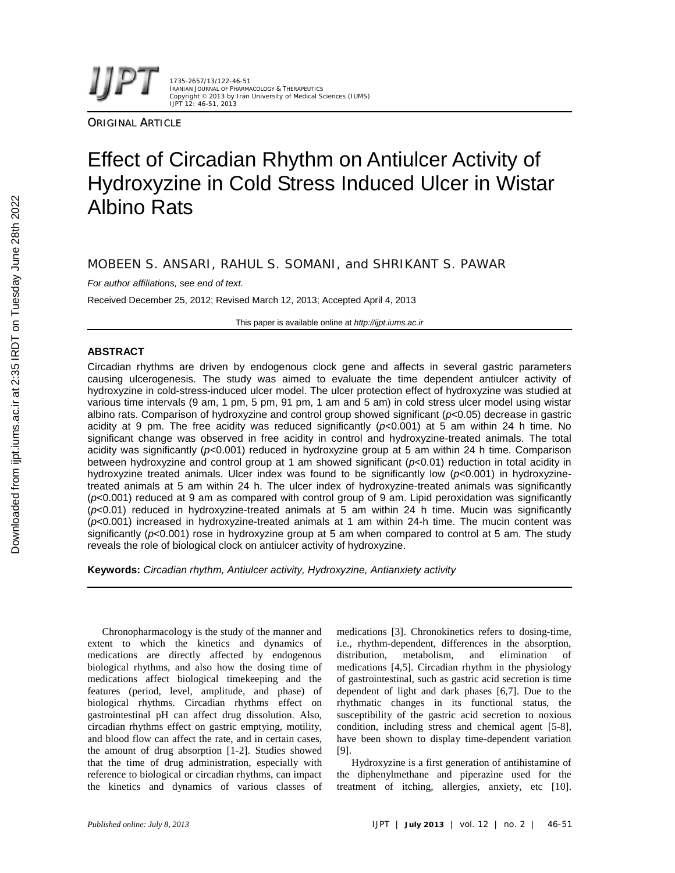1735-2657/13/122-46-51 IRANIAN JOURNAL OF PHARMACOLOGY & THERAPEUTICS Copyright © 2013 by Iran University of Medical Sciences (IUMS) IJPT 12: 46-51, 2013

**ORIGINAL ARTICLE** 

# Effect of Circadian Rhythm on Antiulcer Activity of Hydroxyzine in Cold Stress Induced Ulcer in Wistar Albino Rats

MOBEEN S. ANSARI, RAHUL S. SOMANI, and SHRIKANT S. PAWAR

*For author affiliations, see end of text.*

Received December 25, 2012; Revised March 12, 2013; Accepted April 4, 2013

This paper is available online at *http://ijpt.iums.ac.ir*

# **ABSTRACT**

Circadian rhythms are driven by endogenous clock gene and affects in several gastric parameters causing ulcerogenesis. The study was aimed to evaluate the time dependent antiulcer activity of hydroxyzine in cold-stress-induced ulcer model. The ulcer protection effect of hydroxyzine was studied at various time intervals (9 am, 1 pm, 5 pm, 91 pm, 1 am and 5 am) in cold stress ulcer model using wistar albino rats. Comparison of hydroxyzine and control group showed significant (*p*<0.05) decrease in gastric acidity at 9 pm. The free acidity was reduced significantly (*p*<0.001) at 5 am within 24 h time. No significant change was observed in free acidity in control and hydroxyzine-treated animals. The total acidity was significantly (*p*<0.001) reduced in hydroxyzine group at 5 am within 24 h time. Comparison between hydroxyzine and control group at 1 am showed significant (*p*<0.01) reduction in total acidity in hydroxyzine treated animals. Ulcer index was found to be significantly low (*p*<0.001) in hydroxyzinetreated animals at 5 am within 24 h. The ulcer index of hydroxyzine-treated animals was significantly (*p*<0.001) reduced at 9 am as compared with control group of 9 am. Lipid peroxidation was significantly (*p*<0.01) reduced in hydroxyzine-treated animals at 5 am within 24 h time. Mucin was significantly (*p*<0.001) increased in hydroxyzine-treated animals at 1 am within 24-h time. The mucin content was significantly ( $p$ <0.001) rose in hydroxyzine group at 5 am when compared to control at 5 am. The study reveals the role of biological clock on antiulcer activity of hydroxyzine.

**Keywords:** *Circadian rhythm, Antiulcer activity, Hydroxyzine, Antianxiety activity*

Chronopharmacology is the study of the manner and extent to which the kinetics and dynamics of medications are directly affected by endogenous biological rhythms, and also how the dosing time of medications affect biological timekeeping and the features (period, level, amplitude, and phase) of biological rhythms. Circadian rhythms effect on gastrointestinal pH can affect drug dissolution. Also, circadian rhythms effect on gastric emptying, motility, and blood flow can affect the rate, and in certain cases, the amount of drug absorption [1-2]. Studies showed [9]. that the time of drug administration, especially with reference to biological or circadian rhythms, can impact the kinetics and dynamics of various classes of

medications [3]. Chronokinetics refers to dosing-time, i.e., rhythm-dependent, differences in the absorption, metabolism, and elimination of medications [4,5]. Circadian rhythm in the physiology of gastrointestinal, such as gastric acid secretion is time dependent of light and dark phases [6,7]. Due to the rhythmatic changes in its functional status, the susceptibility of the gastric acid secretion to noxious condition, including stress and chemical agent [5-8], have been shown to display time-dependent variation

Hydroxyzine is a first generation of antihistamine of the diphenylmethane and piperazine used for the treatment of itching, allergies, anxiety, etc [10].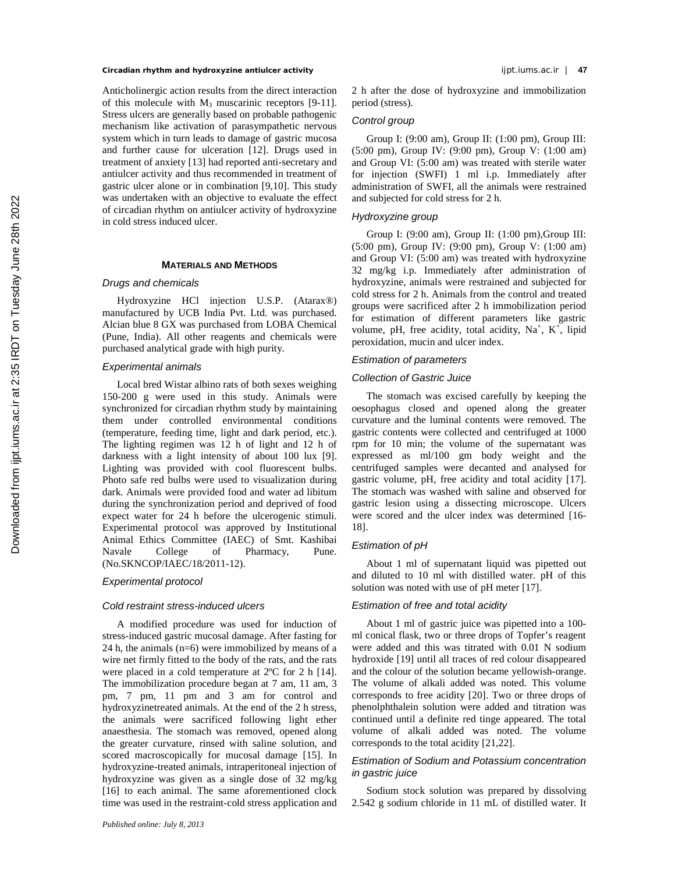**Circadian rhythm and hydroxyzine antiulcer activity** ijpt.iums.ac.ir | **47**

Anticholinergic action results from the direct interaction of this molecule with  $M_3$  muscarinic receptors [9-11]. Stress ulcers are generally based on probable pathogenic mechanism like activation of parasympathetic nervous system which in turn leads to damage of gastric mucosa and further cause for ulceration [12]. Drugs used in treatment of anxiety [13] had reported anti-secretary and antiulcer activity and thus recommended in treatment of gastric ulcer alone or in combination [9,10]. This study was undertaken with an objective to evaluate the effect of circadian rhythm on antiulcer activity of hydroxyzine in cold stress induced ulcer.

# **MATERIALS AND METHODS**

## *Drugs and chemicals*

Hydroxyzine HCl injection U.S.P. (Atarax®) manufactured by UCB India Pvt. Ltd. was purchased. Alcian blue 8 GX was purchased from LOBA Chemical (Pune, India). All other reagents and chemicals were purchased analytical grade with high purity.

# *Experimental animals*

Local bred Wistar albino rats of both sexes weighing 150-200 g were used in this study. Animals were synchronized for circadian rhythm study by maintaining them under controlled environmental conditions (temperature, feeding time, light and dark period, etc.). The lighting regimen was 12 h of light and 12 h of darkness with a light intensity of about 100 lux [9]. Lighting was provided with cool fluorescent bulbs. Photo safe red bulbs were used to visualization during dark. Animals were provided food and water ad libitum during the synchronization period and deprived of food expect water for 24 h before the ulcerogenic stimuli. Experimental protocol was approved by Institutional Animal Ethics Committee (IAEC) of Smt. Kashibai Navale College of Pharmacy, Pune. (No.SKNCOP/IAEC/18/2011-12).

## *Experimental protocol*

# *Cold restraint stress-induced ulcers*

A modified procedure was used for induction of stress-induced gastric mucosal damage. After fasting for 24 h, the animals (n=6) were immobilized by means of a wire net firmly fitted to the body of the rats, and the rats were placed in a cold temperature at 2ºC for 2 h [14]. The immobilization procedure began at 7 am, 11 am, 3 pm, 7 pm, 11 pm and 3 am for control and hydroxyzinetreated animals. At the end of the 2 h stress, the animals were sacrificed following light ether anaesthesia. The stomach was removed, opened along the greater curvature, rinsed with saline solution, and scored macroscopically for mucosal damage [15]. In hydroxyzine-treated animals, intraperitoneal injection of hydroxyzine was given as a single dose of 32 mg/kg [16] to each animal. The same aforementioned clock time was used in the restraint-cold stress application and

2 h after the dose of hydroxyzine and immobilization period (stress).

# *Control group*

Group I: (9:00 am), Group II: (1:00 pm), Group III: (5:00 pm), Group IV: (9:00 pm), Group V: (1:00 am) and Group VI: (5:00 am) was treated with sterile water for injection (SWFI) 1 ml i.p. Immediately after administration of SWFI, all the animals were restrained and subjected for cold stress for 2 h.

# *Hydroxyzine group*

Group I: (9:00 am), Group II: (1:00 pm),Group III: (5:00 pm), Group IV: (9:00 pm), Group V: (1:00 am) and Group VI: (5:00 am) was treated with hydroxyzine 32 mg/kg i.p. Immediately after administration of hydroxyzine, animals were restrained and subjected for cold stress for 2 h. Animals from the control and treated groups were sacrificed after 2 h immobilization period for estimation of different parameters like gastric volume, pH, free acidity, total acidity,  $Na^+$ ,  $K^+$ , lipid peroxidation, mucin and ulcer index.

# *Estimation of parameters*

#### *Collection of Gastric Juice*

The stomach was excised carefully by keeping the oesophagus closed and opened along the greater curvature and the luminal contents were removed. The gastric contents were collected and centrifuged at 1000 rpm for 10 min; the volume of the supernatant was expressed as ml/100 gm body weight and the centrifuged samples were decanted and analysed for gastric volume, pH, free acidity and total acidity [17]. The stomach was washed with saline and observed for gastric lesion using a dissecting microscope. Ulcers were scored and the ulcer index was determined [16- 18].

# *Estimation of pH*

About 1 ml of supernatant liquid was pipetted out and diluted to 10 ml with distilled water. pH of this solution was noted with use of pH meter [17].

# *Estimation of free and total acidity*

About 1 ml of gastric juice was pipetted into a 100 ml conical flask, two or three drops of Topfer's reagent were added and this was titrated with 0.01 N sodium hydroxide [19] until all traces of red colour disappeared and the colour of the solution became yellowish-orange. The volume of alkali added was noted. This volume corresponds to free acidity [20]. Two or three drops of phenolphthalein solution were added and titration was continued until a definite red tinge appeared. The total volume of alkali added was noted. The volume corresponds to the total acidity [21,22].

# *Estimation of Sodium and Potassium concentration in gastric juice*

Sodium stock solution was prepared by dissolving 2.542 g sodium chloride in 11 mL of distilled water. It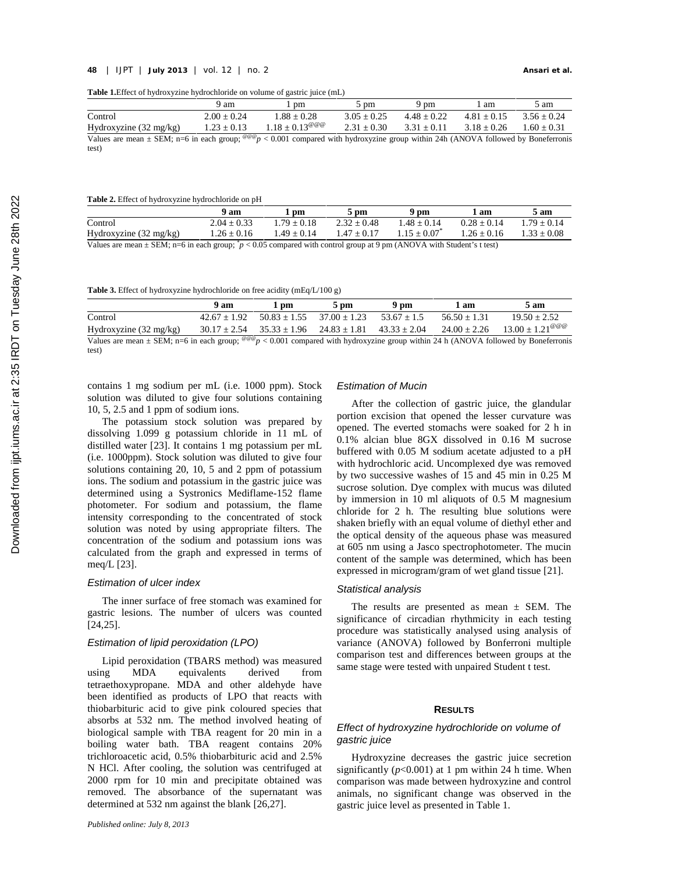**Table 1.**Effect of hydroxyzine hydrochloride on volume of gastric juice (mL)

|                                                                                                                                                        | 9 am            | pm                             | 5 pm            | 9 pm          | . am          | 5 am          |
|--------------------------------------------------------------------------------------------------------------------------------------------------------|-----------------|--------------------------------|-----------------|---------------|---------------|---------------|
| Control                                                                                                                                                | $2.00 + 0.24$   | $1.88 + 0.28$                  | $3.05 \pm 0.25$ | $4.48 + 0.22$ | $4.81 + 0.15$ | $3.56 + 0.24$ |
| Hydroxyzine $(32 \text{ mg/kg})$                                                                                                                       | $1.23 \pm 0.13$ | $1.18 \pm 0.13^{\omega\omega}$ | $2.31 \pm 0.30$ | $3.31 + 0.11$ | $3.18 + 0.26$ | $1.60 + 0.31$ |
| Values are mean $\pm$ SEM; n=6 in each group; $e^{(\theta \theta)}$ < 0.001 compared with hydroxyzine group within 24h (ANOVA followed by Boneferronis |                 |                                |                 |               |               |               |
| test)                                                                                                                                                  |                 |                                |                 |               |               |               |

#### **Table 2.** Effect of hydroxyzine hydrochloride on pH

|                                                                                                                            | 9 am            | pm            | $\overline{\phantom{a}}$ pm | 9 pm          | am            | 5 am            |  |  |
|----------------------------------------------------------------------------------------------------------------------------|-----------------|---------------|-----------------------------|---------------|---------------|-----------------|--|--|
| Control                                                                                                                    | $2.04 \pm 0.33$ | $1.79 + 0.18$ | $2.32 + 0.48$               | $1.48 + 0.14$ | $0.28 + 0.14$ | $1.79 + 0.14$   |  |  |
| Hydroxyzine (32 mg/kg)                                                                                                     | $1.26 \pm 0.16$ | $1.49 + 0.14$ | $1.47 + 0.17$               | $1.15 + 0.07$ | $1.26 + 0.16$ | $1.33 \pm 0.08$ |  |  |
| Values are mean $\pm$ SEM; n=6 in each group; $p < 0.05$ compared with control group at 9 pm (ANOVA with Student's t test) |                 |               |                             |               |               |                 |  |  |

**Table 3.** Effect of hydroxyzine hydrochloride on free acidity (mEq/L/100 g)

|                                                                                                                                                                                                                    | 9 am | 1 pm | $5 \text{ pm}$ | 9 pm                                                                                | 1 am | 5 am                                                                                                                         |
|--------------------------------------------------------------------------------------------------------------------------------------------------------------------------------------------------------------------|------|------|----------------|-------------------------------------------------------------------------------------|------|------------------------------------------------------------------------------------------------------------------------------|
| Control                                                                                                                                                                                                            |      |      |                | $42.67 \pm 1.92$ $50.83 \pm 1.55$ $37.00 \pm 1.23$ $53.67 \pm 1.5$ $56.50 \pm 1.31$ |      | $19.50 + 2.52$                                                                                                               |
| Hydroxyzine $(32 \text{ mg/kg})$                                                                                                                                                                                   |      |      |                |                                                                                     |      | $30.17 \pm 2.54$ $35.33 \pm 1.96$ $24.83 \pm 1.81$ $43.33 \pm 2.04$ $24.00 \pm 2.26$ $13.00 \pm 1.21^{\omega \omega \omega}$ |
| $V_{\text{cluster}}$ are more to $\text{CDM}_{\text{eff}}$ of the sock more. $\frac{\text{QGE}}{\text{QGE}} > 0.001$ common derivate but assumed as a more suitable $24 \text{ L}$ (ANOVA followed by Danaformanic |      |      |                |                                                                                     |      |                                                                                                                              |

Values are mean  $\pm$  SEM; n=6 in each group;  $e^{i\omega w}p < 0.001$  compared with hydroxyzine group within 24 h (ANOVA followed by Boneferronis test)

contains 1 mg sodium per mL (i.e. 1000 ppm). Stock solution was diluted to give four solutions containing 10, 5, 2.5 and 1 ppm of sodium ions.

The potassium stock solution was prepared by dissolving 1.099 g potassium chloride in 11 mL of  $\frac{0.1\%}{0.1\%}$  alcian blue 8GX dissolved in 0.16 M sucrose distilled water [23]. It contains 1 mg potassium per mL (i.e. 1000ppm). Stock solution was diluted to give four solutions containing 20, 10, 5 and 2 ppm of potassium ions. The sodium and potassium in the gastric juice was determined using a Systronics Mediflame-152 flame photometer. For sodium and potassium, the flame intensity corresponding to the concentrated of stock solution was noted by using appropriate filters. The concentration of the sodium and potassium ions was calculated from the graph and expressed in terms of meq/L [23].

## *Estimation of ulcer index*

The inner surface of free stomach was examined for gastric lesions. The number of ulcers was counted [24,25].

## *Estimation of lipid peroxidation (LPO)*

Lipid peroxidation (TBARS method) was measured using MDA equivalents derived from tetraethoxypropane. MDA and other aldehyde have been identified as products of LPO that reacts with thiobarbituric acid to give pink coloured species that absorbs at 532 nm. The method involved heating of biological sample with TBA reagent for 20 min in a boiling water bath. TBA reagent contains 20% trichloroacetic acid, 0.5% thiobarbituric acid and 2.5% N HCl. After cooling, the solution was centrifuged at 2000 rpm for 10 min and precipitate obtained was removed. The absorbance of the supernatant was determined at 532 nm against the blank [26,27].

#### *Estimation of Mucin*

After the collection of gastric juice, the glandular portion excision that opened the lesser curvature was opened. The everted stomachs were soaked for 2 h in buffered with 0.05 M sodium acetate adjusted to a pH with hydrochloric acid. Uncomplexed dye was removed by two successive washes of 15 and 45 min in 0.25 M sucrose solution. Dye complex with mucus was diluted by immersion in 10 ml aliquots of 0.5 M magnesium chloride for 2 h. The resulting blue solutions were shaken briefly with an equal volume of diethyl ether and the optical density of the aqueous phase was measured at 605 nm using a Jasco spectrophotometer. The mucin content of the sample was determined, which has been expressed in microgram/gram of wet gland tissue [21].

#### *Statistical analysis*

The results are presented as mean  $\pm$  SEM. The significance of circadian rhythmicity in each testing procedure was statistically analysed using analysis of variance (ANOVA) followed by Bonferroni multiple comparison test and differences between groups at the same stage were tested with unpaired Student t test.

# **RESULTS**

# *Effect of hydroxyzine hydrochloride on volume of gastric juice*

Hydroxyzine decreases the gastric juice secretion significantly  $(p<0.001)$  at 1 pm within 24 h time. When comparison was made between hydroxyzine and control animals, no significant change was observed in the gastric juice level as presented in Table 1.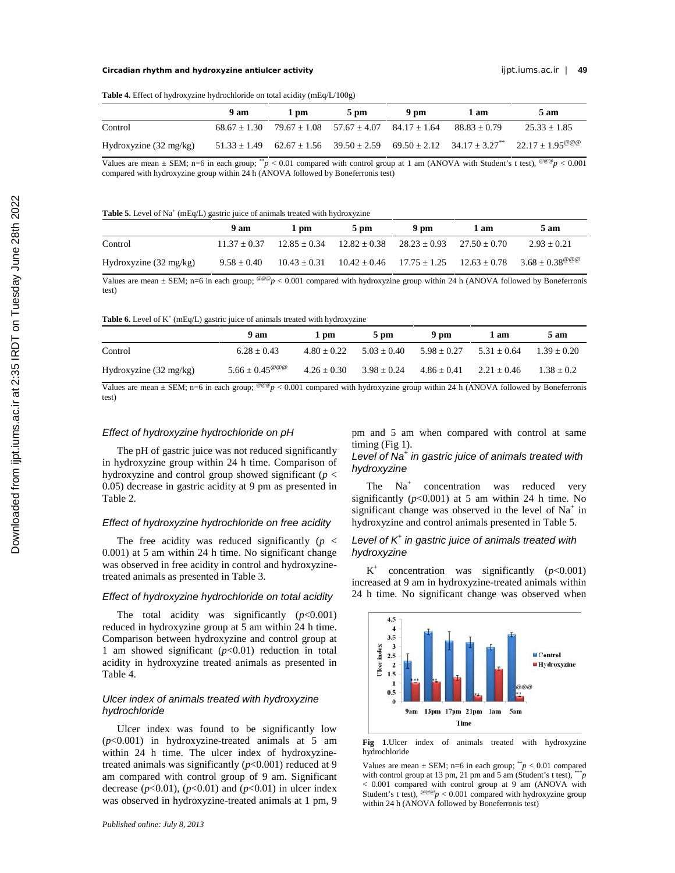#### **Circadian rhythm and hydroxyzine antiulcer activity** ijpt.iums.ac.ir | **49**

|  |  |  | <b>Table 4.</b> Effect of hydroxyzine hydrochloride on total acidity (mEq/L/100g) |  |  |
|--|--|--|-----------------------------------------------------------------------------------|--|--|
|--|--|--|-----------------------------------------------------------------------------------|--|--|

|                                  | $9a$ m | 1 pm | $5 \text{ pm}$                                                                       | 9 pm | 1 am | 5 am                                                                                                                         |
|----------------------------------|--------|------|--------------------------------------------------------------------------------------|------|------|------------------------------------------------------------------------------------------------------------------------------|
| Control                          |        |      | $68.67 \pm 1.30$ $79.67 \pm 1.08$ $57.67 \pm 4.07$ $84.17 \pm 1.64$ $88.83 \pm 0.79$ |      |      | $25.33 + 1.85$                                                                                                               |
| Hydroxyzine $(32 \text{ mg/kg})$ |        |      |                                                                                      |      |      | $51.33 \pm 1.49$ $62.67 \pm 1.56$ $39.50 \pm 2.59$ $69.50 \pm 2.12$ $34.17 \pm 3.27^{**}$ $22.17 \pm 1.95^{\textcircled{e}}$ |

Values are mean  $\pm$  SEM; n=6 in each group; \**p* < 0.01 compared with control group at 1 am (ANOVA with Student's t test), <sup>@@@</sup>*p* < 0.001 compared with hydroxyzine group within 24 h (ANOVA followed by Boneferronis test)

#### **Table 5.** Level of Na<sup>+</sup> (mEq/L) gastric juice of animals treated with hydroxyzine

|                                  | 9 am            | 1 pm           | $5 \text{ pm}$                                     | 9 pm | 1 am           | 5 am                                                                               |
|----------------------------------|-----------------|----------------|----------------------------------------------------|------|----------------|------------------------------------------------------------------------------------|
| Control                          | $11.37 + 0.37$  |                | $12.85 \pm 0.34$ $12.82 \pm 0.38$ $28.23 \pm 0.93$ |      | $27.50 + 0.70$ | $2.93 + 0.21$                                                                      |
| Hydroxyzine $(32 \text{ mg/kg})$ | $9.58 \pm 0.40$ | $10.43 + 0.31$ |                                                    |      |                | $10.42 \pm 0.46$ $17.75 \pm 1.25$ $12.63 \pm 0.78$ $3.68 \pm 0.38^{\omega \omega}$ |

Values are mean  $\pm$  SEM; n=6 in each group; <sup>@@@</sup>p < 0.001 compared with hydroxyzine group within 24 h (ANOVA followed by Boneferronis test)

**Table 6.** Level of  $K^+$  (mEq/L) gastric juice of animals treated with hydroxyzine

|                                                                                                                                                                                          | 9 am                                       | 1 pm          | $5 \text{ pm}$                                                  | 9 pm                            | l am | 5 am          |
|------------------------------------------------------------------------------------------------------------------------------------------------------------------------------------------|--------------------------------------------|---------------|-----------------------------------------------------------------|---------------------------------|------|---------------|
| Control                                                                                                                                                                                  | $6.28 + 0.43$                              |               | $4.80 \pm 0.22$ $5.03 \pm 0.40$ $5.98 \pm 0.27$ $5.31 \pm 0.64$ |                                 |      | $1.39 + 0.20$ |
| Hydroxyzine $(32 \text{ mg/kg})$                                                                                                                                                         | $5.66 \pm 0.45^{\textcircled{\,\circ\,0}}$ | $4.26 + 0.30$ | $3.98 + 0.24$                                                   | $4.86 \pm 0.41$ $2.21 \pm 0.46$ |      | $1.38 + 0.2$  |
| $V_{\text{cluster}}$ are mean $\pm$ CEM; $n=6$ in each group; $\frac{\mathcal{Q}(\mathcal{Q}_n)}{n}$ < 0.001 compared with hydrogyring group within 24 h (ANOVA followed by Bonoformonic |                                            |               |                                                                 |                                 |      |               |

 $\epsilon_p$  < 0.001 compared with hydroxyzine group within 24 h (ANOVA followed by Boneferronis test)

## *Effect of hydroxyzine hydrochloride on pH*

The pH of gastric juice was not reduced significantly in hydroxyzine group within 24 h time. Comparison of hydroxyzine and control group showed significant (*p* < 0.05) decrease in gastric acidity at 9 pm as presented in Table 2.

#### *Effect of hydroxyzine hydrochloride on free acidity*

The free acidity was reduced significantly  $(p \leq$ 0.001) at 5 am within 24 h time. No significant change was observed in free acidity in control and hydroxyzinetreated animals as presented in Table 3.

## *Effect of hydroxyzine hydrochloride on total acidity*

The total acidity was significantly  $(p<0.001)$ reduced in hydroxyzine group at 5 am within 24 h time. Comparison between hydroxyzine and control group at 1 am showed significant  $(p<0.01)$  reduction in total 1 am showed significant  $(p<0.01)$  reduction in total<br>acidity in hydroxyzine treated animals as presented in<br>Table 4 Table 4.

# *Ulcer index of animals treated with hydroxyzine hydrochloride*

Ulcer index was found to be significantly low (*p*<0.001) in hydroxyzine-treated animals at 5 am within 24 h time. The ulcer index of hydroxyzinetreated animals was significantly  $(p<0.001)$  reduced at 9 am compared with control group of 9 am. Significant decrease  $(p<0.01)$ ,  $(p<0.01)$  and  $(p<0.01)$  in ulcer index was observed in hydroxyzine-treated animals at 1 pm, 9

pm and 5 am when compared with control at same timing (Fig 1).

# *Level of Na<sup>+</sup> in gastric juice of animals treated with hydroxyzine*

The  $Na<sup>+</sup>$  concentration was reduced very significantly  $(p<0.001)$  at 5 am within 24 h time. No significant change was observed in the level of  $Na<sup>+</sup>$  in hydroxyzine and control animals presented in Table 5.

# *Level of K<sup>+</sup> in gastric juice of animals treated with hydroxyzine*

 $K^+$  concentration was significantly ( $p < 0.001$ ) increased at 9 am in hydroxyzine-treated animals within 24 h time. No significant change was observed when



Fig 1.Ulcer index of animals treated with hydroxyzine hydrochloride

Values are mean  $\pm$  SEM; n=6 in each group;  $\sqrt[k]{p}$  < 0.01 compared with control group at 13 pm, 21 pm and 5 am (Student's t test), \*\*\**p*  $< 0.001$  compared with control group at 9 am (ANOVA with Student's t test), <sup>@@@</sup>p  $< 0.001$  compared with hydroxyzine group within 24 h (ANOVA followed by Boneferronis test)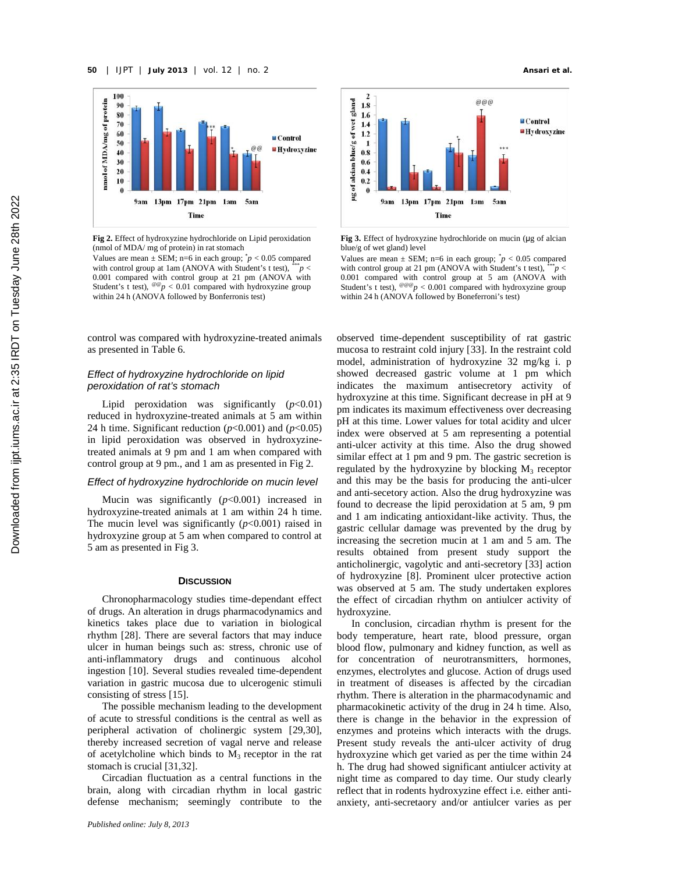

**Fig 2.** Effect of hydroxyzine hydrochloride on Lipid peroxidation (nmol of MDA/ mg of protein) in rat stomach

Values are mean  $\pm$  SEM; n=6 in each group;  $\gamma p < 0.05$  compared with control group at 1am (ANOVA with Student's t test),  $e^{i x} p <$  with 0.001 compared with control group at 21 pm (ANOVA with Student's t test),  $e^{i\theta}p < 0.01$  compared with hydroxyzine group within 24 h (ANOVA followed by Bonferronis test)

control was compared with hydroxyzine-treated animals as presented in Table 6.

# *Effect of hydroxyzine hydrochloride on lipid peroxidation of rat's stomach*

Lipid peroxidation was significantly  $(p<0.01)$ reduced in hydroxyzine-treated animals at 5 am within 24 h time. Significant reduction  $(p<0.001)$  and  $(p<0.05)$ in lipid peroxidation was observed in hydroxyzinetreated animals at 9 pm and 1 am when compared with control group at 9 pm., and 1 am as presented in Fig 2.

# *Effect of hydroxyzine hydrochloride on mucin level*

Mucin was significantly (*p*<0.001) increased in hydroxyzine-treated animals at 1 am within 24 h time. The mucin level was significantly  $(p<0.001)$  raised in hydroxyzine group at 5 am when compared to control at 5 am as presented in Fig 3.

#### **DISCUSSION**

Chronopharmacology studies time-dependant effect of drugs. An alteration in drugs pharmacodynamics and kinetics takes place due to variation in biological rhythm [28]. There are several factors that may induce ulcer in human beings such as: stress, chronic use of anti-inflammatory drugs and continuous alcohol ingestion [10]. Several studies revealed time-dependent variation in gastric mucosa due to ulcerogenic stimuli consisting of stress [15].

The possible mechanism leading to the development of acute to stressful conditions is the central as well as peripheral activation of cholinergic system [29,30], thereby increased secretion of vagal nerve and release of acetylcholine which binds to  $M_3$  receptor in the rat stomach is crucial [31,32].

Circadian fluctuation as a central functions in the brain, along with circadian rhythm in local gastric defense mechanism; seemingly contribute to the



**Fig 3.** Effect of hydroxyzine hydrochloride on mucin (µg of alcian blue/g of wet gland) level

Values are mean  $\pm$  SEM; n=6 in each group;  $\gamma p < 0.05$  compared with control group at 21 pm (ANOVA with Student's t test),  $\frac{1}{2}$   $\frac{1}{2}$   $\frac{1}{2}$ 0.001 compared with control group at 5 am (ANOVA with Student's t test), <sup>@@@</sup>*p* < 0.001 compared with hydroxyzine group within 24 h (ANOVA followed by Boneferroni's test)

observed time-dependent susceptibility of rat gastric mucosa to restraint cold injury [33]. In the restraint cold model, administration of hydroxyzine 32 mg/kg i. p showed decreased gastric volume at 1 pm which indicates the maximum antisecretory activity of hydroxyzine at this time. Significant decrease in pH at 9 pm indicates its maximum effectiveness over decreasing pH at this time. Lower values for total acidity and ulcer index were observed at 5 am representing a potential anti-ulcer activity at this time. Also the drug showed similar effect at 1 pm and 9 pm. The gastric secretion is regulated by the hydroxyzine by blocking  $M_3$  receptor and this may be the basis for producing the anti-ulcer and anti-secetory action. Also the drug hydroxyzine was found to decrease the lipid peroxidation at 5 am, 9 pm and 1 am indicating antioxidant-like activity. Thus, the gastric cellular damage was prevented by the drug by increasing the secretion mucin at 1 am and 5 am. The results obtained from present study support the anticholinergic, vagolytic and anti-secretory [33] action of hydroxyzine [8]. Prominent ulcer protective action was observed at 5 am. The study undertaken explores the effect of circadian rhythm on antiulcer activity of hydroxyzine.

In conclusion, circadian rhythm is present for the body temperature, heart rate, blood pressure, organ blood flow, pulmonary and kidney function, as well as for concentration of neurotransmitters, hormones, enzymes, electrolytes and glucose. Action of drugs used in treatment of diseases is affected by the circadian rhythm. There is alteration in the pharmacodynamic and pharmacokinetic activity of the drug in 24 h time. Also, there is change in the behavior in the expression of enzymes and proteins which interacts with the drugs. Present study reveals the anti-ulcer activity of drug hydroxyzine which get varied as per the time within 24 h. The drug had showed significant antiulcer activity at night time as compared to day time. Our study clearly reflect that in rodents hydroxyzine effect i.e. either anti anxiety, anti-secretaory and/or antiulcer varies as per